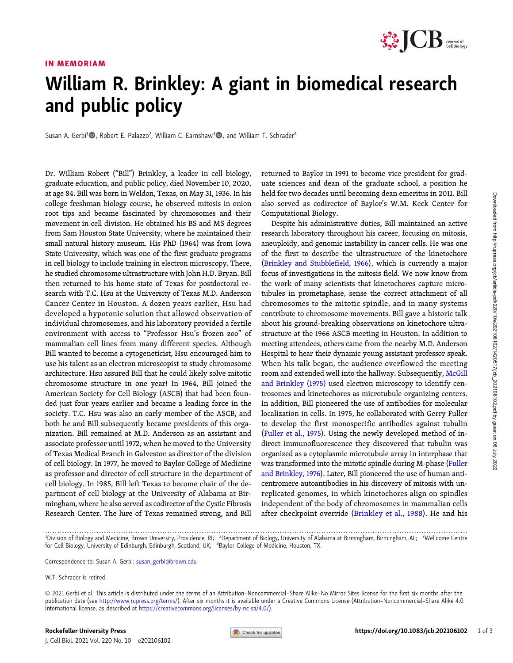# Downloaded from http://tupress.org/icb/article-pdf/220/10/e202106102/1420517/jcb\_202106102.pdf by guest on 06 July 2022 Downloaded from http://rupress.org/jcb/article-pdf/220/10/e202106102/1420517/jcb\_202106102.pdf by guest on 06 July 2022

### IN MEMORIAM



# William R. Brinkley: A giant in biomedical research and public policy

Susan A. Gerbi<sup>1</sup><sup>®</sup>, Robert E. Palazzo<sup>2</sup>, William C. Earnshaw<sup>3</sup><sup>®</sup>, and William T. Schrader<sup>4</sup>

Dr. William Robert ("Bill") Brinkley, a leader in cell biology, graduate education, and public policy, died November 10, 2020, at age 84. Bill was born in Weldon, Texas, on May 31, 1936. In his college freshman biology course, he observed mitosis in onion root tips and became fascinated by chromosomes and their movement in cell division. He obtained his BS and MS degrees from Sam Houston State University, where he maintained their small natural history museum. His PhD (1964) was from Iowa State University, which was one of the first graduate programs in cell biology to include training in electron microscopy. There, he studied chromosome ultrastructure with John H.D. Bryan. Bill then returned to his home state of Texas for postdoctoral research with T.C. Hsu at the University of Texas M.D. Anderson Cancer Center in Houston. A dozen years earlier, Hsu had developed a hypotonic solution that allowed observation of individual chromosomes, and his laboratory provided a fertile environment with access to "Professor Hsu's frozen zoo" of mammalian cell lines from many different species. Although Bill wanted to become a cytogeneticist, Hsu encouraged him to use his talent as an electron microscopist to study chromosome architecture. Hsu assured Bill that he could likely solve mitotic chromosome structure in one year! In 1964, Bill joined the American Society for Cell Biology (ASCB) that had been founded just four years earlier and became a leading force in the society. T.C. Hsu was also an early member of the ASCB, and both he and Bill subsequently became presidents of this organization. Bill remained at M.D. Anderson as an assistant and associate professor until 1972, when he moved to the University of Texas Medical Branch in Galveston as director of the division of cell biology. In 1977, he moved to Baylor College of Medicine as professor and director of cell structure in the department of cell biology. In 1985, Bill left Texas to become chair of the department of cell biology at the University of Alabama at Birmingham, where he also served as codirector of the Cystic Fibrosis Research Center. The lure of Texas remained strong, and Bill

returned to Baylor in 1991 to become vice president for graduate sciences and dean of the graduate school, a position he held for two decades until becoming dean emeritus in 2011. Bill also served as codirector of Baylor's W.M. Keck Center for Computational Biology.

Despite his administrative duties, Bill maintained an active research laboratory throughout his career, focusing on mitosis, aneuploidy, and genomic instability in cancer cells. He was one of the first to describe the ultrastructure of the kinetochore [\(Brinkley and Stubblefield, 1966\)](#page-2-0), which is currently a major focus of investigations in the mitosis field. We now know from the work of many scientists that kinetochores capture microtubules in prometaphase, sense the correct attachment of all chromosomes to the mitotic spindle, and in many systems contribute to chromosome movements. Bill gave a historic talk about his ground-breaking observations on kinetochore ultrastructure at the 1966 ASCB meeting in Houston. In addition to meeting attendees, others came from the nearby M.D. Anderson Hospital to hear their dynamic young assistant professor speak. When his talk began, the audience overflowed the meeting room and extended well into the hallway. Subsequently, [McGill](#page-2-0) [and Brinkley \(1975\)](#page-2-0) used electron microscopy to identify centrosomes and kinetochores as microtubule organizing centers. In addition, Bill pioneered the use of antibodies for molecular localization in cells. In 1975, he collaborated with Gerry Fuller to develop the first monospecific antibodies against tubulin [\(Fuller et al., 1975](#page-2-0)). Using the newly developed method of indirect immunofluorescence they discovered that tubulin was organized as a cytoplasmic microtubule array in interphase that was transformed into the mitotic spindle during M-phase ([Fuller](#page-2-0) [and Brinkley, 1976](#page-2-0)). Later, Bill pioneered the use of human anticentromere autoantibodies in his discovery of mitosis with unreplicated genomes, in which kinetochores align on spindles independent of the body of chromosomes in mammalian cells after checkpoint override ([Brinkley et al., 1988\)](#page-2-0). He and his

Correspondence to: Susan A. Gerbi: [susan\\_gerbi@brown.edu](mailto:susan_gerbi@brown.edu)

<sup>.............................................................................................................................................................................</sup> <sup>1</sup> Division of Biology and Medicine, Brown University, Providence, RI; <sup>2</sup> Department of Biology, University of Alabama at Birmingham, Birmingham, AL; <sup>3</sup> Wellcome Centre for Cell Biology, University of Edinburgh, Edinburgh, Scotland, UK; <sup>4</sup>Baylor College of Medicine, Houston, TX.

W.T. Schrader is retired.

<sup>© 2021</sup> Gerbi et al. This article is distributed under the terms of an Attribution–Noncommercial–Share Alike–No Mirror Sites license for the first six months after the publication date (see [http://www.rupress.org/terms/\)](http://www.rupress.org/terms/). After six months it is available under a Creative Commons License (Attribution-Noncommercial-Share Alike 4.0 International license, as described at <https://creativecommons.org/licenses/by-nc-sa/4.0/>).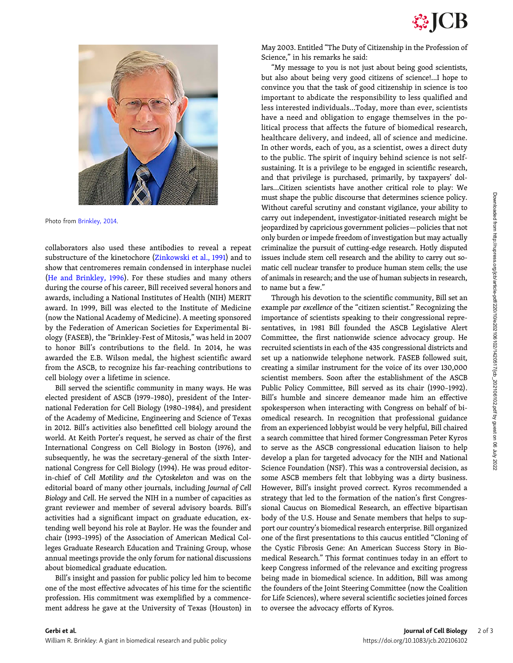

Photo from [Brinkley, 2014](#page-2-0).

collaborators also used these antibodies to reveal a repeat substructure of the kinetochore ([Zinkowski et al., 1991](#page-2-0)) and to show that centromeres remain condensed in interphase nuclei [\(He and Brinkley, 1996](#page-2-0)). For these studies and many others during the course of his career, Bill received several honors and awards, including a National Institutes of Health (NIH) MERIT award. In 1999, Bill was elected to the Institute of Medicine (now the National Academy of Medicine). A meeting sponsored by the Federation of American Societies for Experimental Biology (FASEB), the "Brinkley-Fest of Mitosis," was held in 2007 to honor Bill's contributions to the field. In 2014, he was awarded the E.B. Wilson medal, the highest scientific award from the ASCB, to recognize his far-reaching contributions to cell biology over a lifetime in science.

Bill served the scientific community in many ways. He was elected president of ASCB (1979–1980), president of the International Federation for Cell Biology (1980–1984), and president of the Academy of Medicine, Engineering and Science of Texas in 2012. Bill's activities also benefitted cell biology around the world. At Keith Porter's request, he served as chair of the first International Congress on Cell Biology in Boston (1976), and subsequently, he was the secretary-general of the sixth International Congress for Cell Biology (1994). He was proud editorin-chief of Cell Motility and the Cytoskeleton and was on the editorial board of many other journals, including Journal of Cell Biology and Cell. He served the NIH in a number of capacities as grant reviewer and member of several advisory boards. Bill's activities had a significant impact on graduate education, extending well beyond his role at Baylor. He was the founder and chair (1993–1995) of the Association of American Medical Colleges Graduate Research Education and Training Group, whose annual meetings provide the only forum for national discussions about biomedical graduate education.

Bill's insight and passion for public policy led him to become one of the most effective advocates of his time for the scientific profession. His commitment was exemplified by a commencement address he gave at the University of Texas (Houston) in

May 2003. Entitled "The Duty of Citizenship in the Profession of Science," in his remarks he said:

"My message to you is not just about being good scientists, but also about being very good citizens of science!...I hope to convince you that the task of good citizenship in science is too important to abdicate the responsibility to less qualified and less interested individuals...Today, more than ever, scientists have a need and obligation to engage themselves in the political process that affects the future of biomedical research, healthcare delivery, and indeed, all of science and medicine. In other words, each of you, as a scientist, owes a direct duty to the public. The spirit of inquiry behind science is not selfsustaining. It is a privilege to be engaged in scientific research, and that privilege is purchased, primarily, by taxpayers' dollars…Citizen scientists have another critical role to play: We must shape the public discourse that determines science policy. Without careful scrutiny and constant vigilance, your ability to carry out independent, investigator-initiated research might be jeopardized by capricious government policies—policies that not only burden or impede freedom of investigation but may actually criminalize the pursuit of cutting-edge research. Hotly disputed issues include stem cell research and the ability to carry out somatic cell nuclear transfer to produce human stem cells; the use of animals in research; and the use of human subjects in research, to name but a few."

Through his devotion to the scientific community, Bill set an example par excellence of the "citizen scientist." Recognizing the importance of scientists speaking to their congressional representatives, in 1981 Bill founded the ASCB Legislative Alert Committee, the first nationwide science advocacy group. He recruited scientists in each of the 435 congressional districts and set up a nationwide telephone network. FASEB followed suit, creating a similar instrument for the voice of its over 130,000 scientist members. Soon after the establishment of the ASCB Public Policy Committee, Bill served as its chair (1990–1992). Bill's humble and sincere demeanor made him an effective spokesperson when interacting with Congress on behalf of biomedical research. In recognition that professional guidance from an experienced lobbyist would be very helpful, Bill chaired a search committee that hired former Congressman Peter Kyros to serve as the ASCB congressional education liaison to help develop a plan for targeted advocacy for the NIH and National Science Foundation (NSF). This was a controversial decision, as some ASCB members felt that lobbying was a dirty business. However, Bill's insight proved correct. Kyros recommended a strategy that led to the formation of the nation's first Congressional Caucus on Biomedical Research, an effective bipartisan body of the U.S. House and Senate members that helps to support our country's biomedical research enterprise. Bill organized one of the first presentations to this caucus entitled "Cloning of the Cystic Fibrosis Gene: An American Success Story in Biomedical Research." This format continues today in an effort to keep Congress informed of the relevance and exciting progress being made in biomedical science. In addition, Bill was among the founders of the Joint Steering Committee (now the Coalition for Life Sciences), where several scientific societies joined forces to oversee the advocacy efforts of Kyros.